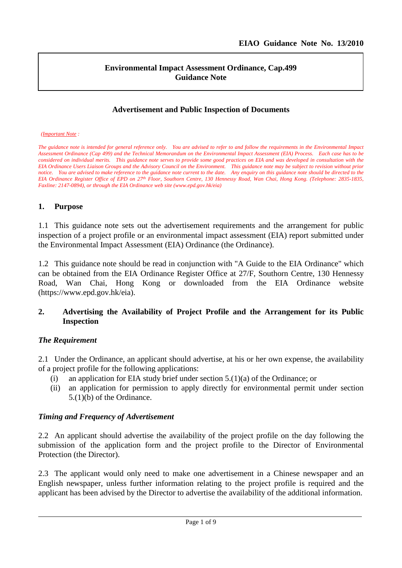l

## **Environmental Impact Assessment Ordinance, Cap.499 Guidance Note**

## **Advertisement and Public Inspection of Documents**

#### *(Important Note :*

*The guidance note is intended for general reference only. You are advised to refer to and follow the requirements in the Environmental Impact Assessment Ordinance (Cap 499) and the Technical Memorandum on the Environmental Impact Assessment (EIA) Process. Each case has to be considered on individual merits. This guidance note serves to provide some good practices on EIA and was developed in consultation with the EIA Ordinance Users Liaison Groups and the Advisory Council on the Environment. This guidance note may be subject to revision without prior notice. You are advised to make reference to the guidance note current to the date. Any enquiry on this guidance note should be directed to the EIA Ordinance Register Office of EPD on 27th Floor, Southorn Centre, 130 Hennessy Road, Wan Chai, Hong Kong. (Telephone: 2835-1835, Faxline: 2147-0894), or through the EIA Ordinance web site (www.epd.gov.hk/eia)*

### **1. Purpose**

1.1 This guidance note sets out the advertisement requirements and the arrangement for public inspection of a project profile or an environmental impact assessment (EIA) report submitted under the Environmental Impact Assessment (EIA) Ordinance (the Ordinance).

1.2 This guidance note should be read in conjunction with "A Guide to the EIA Ordinance" which can be obtained from the EIA Ordinance Register Office at 27/F, Southorn Centre, 130 Hennessy Road, Wan Chai, Hong Kong or downloaded from the EIA Ordinance website (https://www.epd.gov.hk/eia).

## **2. Advertising the Availability of Project Profile and the Arrangement for its Public Inspection**

## *The Requirement*

2.1 Under the Ordinance, an applicant should advertise, at his or her own expense, the availability of a project profile for the following applications:

- (i) an application for EIA study brief under section 5.(1)(a) of the Ordinance; or
- (ii) an application for permission to apply directly for environmental permit under section 5.(1)(b) of the Ordinance.

## *Timing and Frequency of Advertisement*

2.2 An applicant should advertise the availability of the project profile on the day following the submission of the application form and the project profile to the Director of Environmental Protection (the Director).

2.3 The applicant would only need to make one advertisement in a Chinese newspaper and an English newspaper, unless further information relating to the project profile is required and the applicant has been advised by the Director to advertise the availability of the additional information.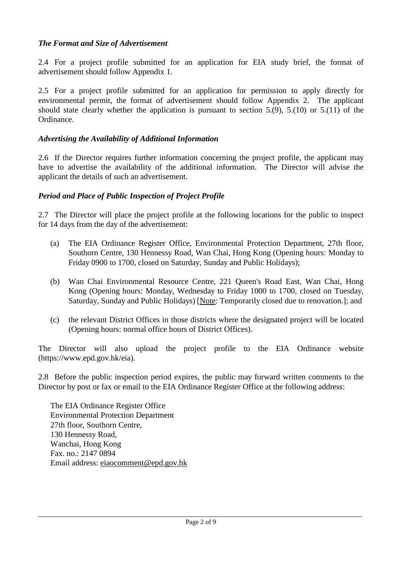# *The Format and Size of Advertisement*

2.4 For a project profile submitted for an application for EIA study brief, the format of advertisement should follow Appendix 1.

2.5 For a project profile submitted for an application for permission to apply directly for environmental permit, the format of advertisement should follow Appendix 2. The applicant should state clearly whether the application is pursuant to section 5.(9), 5.(10) or 5.(11) of the Ordinance.

## *Advertising the Availability of Additional Information*

2.6 If the Director requires further information concerning the project profile, the applicant may have to advertise the availability of the additional information. The Director will advise the applicant the details of such an advertisement.

## *Period and Place of Public Inspection of Project Profile*

2.7 The Director will place the project profile at the following locations for the public to inspect for 14 days from the day of the advertisement:

- (a) The EIA Ordinance Register Office, Environmental Protection Department, 27th floor, Southorn Centre, 130 Hennessy Road, Wan Chai, Hong Kong (Opening hours: Monday to Friday 0900 to 1700, closed on Saturday, Sunday and Public Holidays);
- (b) Wan Chai Environmental Resource Centre, 221 Queen's Road East, Wan Chai, Hong Kong (Opening hours: Monday, Wednesday to Friday 1000 to 1700, closed on Tuesday, Saturday, Sunday and Public Holidays) [Note: Temporarily closed due to renovation.]; and
- (c) the relevant District Offices in those districts where the designated project will be located (Opening hours: normal office hours of District Offices).

The Director will also upload the project profile to the EIA Ordinance website (https://www.epd.gov.hk/eia).

2.8 Before the public inspection period expires, the public may forward written comments to the Director by post or fax or email to the EIA Ordinance Register Office at the following address:

The EIA Ordinance Register Office Environmental Protection Department 27th floor, Southorn Centre, 130 Hennessy Road, Wanchai, Hong Kong Fax. no.: 2147 0894 Email address: [eiaocomment@epd.gov.hk](mailto:eiaocomment@epd.gov.hk)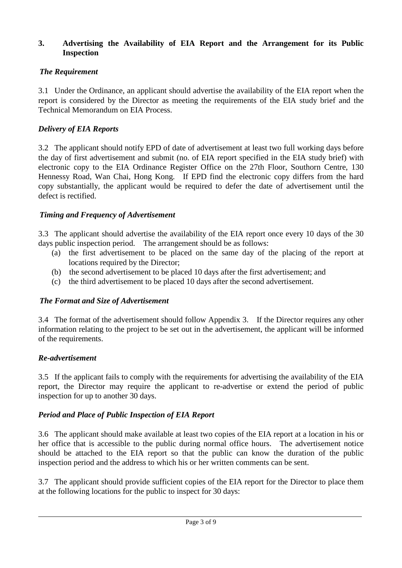## **3. Advertising the Availability of EIA Report and the Arrangement for its Public Inspection**

# *The Requirement*

3.1 Under the Ordinance, an applicant should advertise the availability of the EIA report when the report is considered by the Director as meeting the requirements of the EIA study brief and the Technical Memorandum on EIA Process.

# *Delivery of EIA Reports*

3.2 The applicant should notify EPD of date of advertisement at least two full working days before the day of first advertisement and submit (no. of EIA report specified in the EIA study brief) with electronic copy to the EIA Ordinance Register Office on the 27th Floor, Southorn Centre, 130 Hennessy Road, Wan Chai, Hong Kong. If EPD find the electronic copy differs from the hard copy substantially, the applicant would be required to defer the date of advertisement until the defect is rectified.

# *Timing and Frequency of Advertisement*

3.3 The applicant should advertise the availability of the EIA report once every 10 days of the 30 days public inspection period. The arrangement should be as follows:

- (a) the first advertisement to be placed on the same day of the placing of the report at locations required by the Director;
- (b) the second advertisement to be placed 10 days after the first advertisement; and
- (c) the third advertisement to be placed 10 days after the second advertisement.

# *The Format and Size of Advertisement*

3.4 The format of the advertisement should follow Appendix 3. If the Director requires any other information relating to the project to be set out in the advertisement, the applicant will be informed of the requirements.

# *Re-advertisement*

3.5 If the applicant fails to comply with the requirements for advertising the availability of the EIA report, the Director may require the applicant to re-advertise or extend the period of public inspection for up to another 30 days.

# *Period and Place of Public Inspection of EIA Report*

3.6 The applicant should make available at least two copies of the EIA report at a location in his or her office that is accessible to the public during normal office hours. The advertisement notice should be attached to the EIA report so that the public can know the duration of the public inspection period and the address to which his or her written comments can be sent.

3.7 The applicant should provide sufficient copies of the EIA report for the Director to place them at the following locations for the public to inspect for 30 days: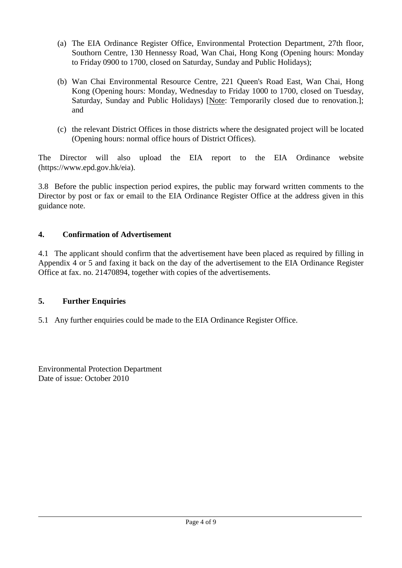- (a) The EIA Ordinance Register Office, Environmental Protection Department, 27th floor, Southorn Centre, 130 Hennessy Road, Wan Chai, Hong Kong (Opening hours: Monday to Friday 0900 to 1700, closed on Saturday, Sunday and Public Holidays);
- (b) Wan Chai Environmental Resource Centre, 221 Queen's Road East, Wan Chai, Hong Kong (Opening hours: Monday, Wednesday to Friday 1000 to 1700, closed on Tuesday, Saturday, Sunday and Public Holidays) [Note: Temporarily closed due to renovation.]; and
- (c) the relevant District Offices in those districts where the designated project will be located (Opening hours: normal office hours of District Offices).

The Director will also upload the EIA report to the EIA Ordinance website (https://www.epd.gov.hk/eia).

3.8 Before the public inspection period expires, the public may forward written comments to the Director by post or fax or email to the EIA Ordinance Register Office at the address given in this guidance note.

# **4. Confirmation of Advertisement**

4.1 The applicant should confirm that the advertisement have been placed as required by filling in Appendix 4 or 5 and faxing it back on the day of the advertisement to the EIA Ordinance Register Office at fax. no. 21470894, together with copies of the advertisements.

# **5. Further Enquiries**

5.1 Any further enquiries could be made to the EIA Ordinance Register Office.

Environmental Protection Department Date of issue: October 2010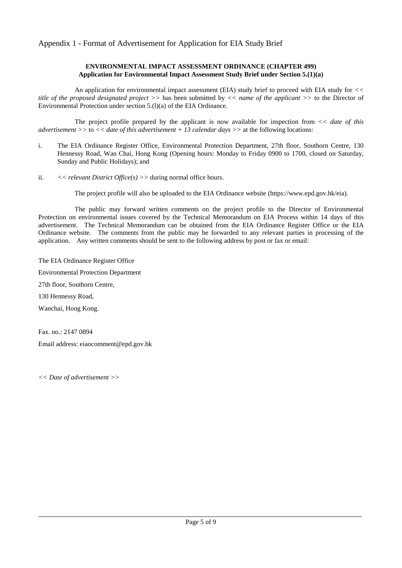### Appendix 1 - Format of Advertisement for Application for EIA Study Brief

#### **ENVIRONMENTAL IMPACT ASSESSMENT ORDINANCE (CHAPTER 499) Application for Environmental Impact Assessment Study Brief under Section 5.(1)(a)**

An application for environmental impact assessment (EIA) study brief to proceed with EIA study for *<< title of the proposed designated project >>* has been submitted by *<< name of the applicant >>* to the Director of Environmental Protection under section 5.(l)(a) of the EIA Ordinance.

The project profile prepared by the applicant is now available for inspection from *<< date of this advertisement >>* to *<< date of this advertisement + 13 calendar days >>* at the following locations:

- i. The EIA Ordinance Register Office, Environmental Protection Department, 27th floor, Southorn Centre, 130 Hennessy Road, Wan Chai, Hong Kong (Opening hours: Monday to Friday 0900 to 1700, closed on Saturday, Sunday and Public Holidays); and
- ii. *<< relevant District Office(s) >>* during normal office hours.

The project profile will also be uploaded to the EIA Ordinance website (https://www.epd.gov.hk/eia).

The public may forward written comments on the project profile to the Director of Environmental Protection on environmental issues covered by the Technical Memorandum on EIA Process within 14 days of this advertisement. The Technical Memorandum can be obtained from the EIA Ordinance Register Office or the EIA Ordinance website. The comments from the public may be forwarded to any relevant parties in processing of the application. Any written comments should be sent to the following address by post or fax or [email:](mailto:)

The EIA Ordinance Register Office Environmental Protection Department 27th floor, Southorn Centre, 130 Hennessy Road, Wanchai, Hong Kong.

Fax. no.: 2147 0894 Email address: [eiaocomment@epd.gov.hk](mailto:eiaocomment@epd.gov.hk)

*<< Date of advertisement >>*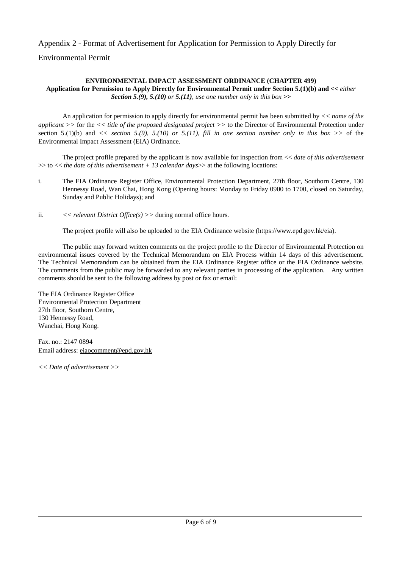Appendix 2 - Format of Advertisement for Application for Permission to Apply Directly for

Environmental Permit

#### **ENVIRONMENTAL IMPACT ASSESSMENT ORDINANCE (CHAPTER 499)**

**Application for Permission to Apply Directly for Environmental Permit under Section 5.(1)(b) and** *<< either Section 5.(9), 5.(10) or 5.(11), use one number only in this box >>*

An application for permission to apply directly for environmental permit has been submitted by *<< name of the applicant >>* for the *<< title of the proposed designated project >>* to the Director of Environmental Protection under section 5.(1)(b) and  $\langle \rangle$  section 5.(9), 5.(10) or 5.(11), fill in one section number only in this box  $\langle \rangle$  of the Environmental Impact Assessment (EIA) Ordinance.

The project profile prepared by the applicant is now available for inspection from << *date of this advertisement*  >> to << *the date of this advertisement + 13 calendar days*>> at the following locations:

- i. The EIA Ordinance Register Office, Environmental Protection Department, 27th floor, Southorn Centre, 130 Hennessy Road, Wan Chai, Hong Kong (Opening hours: Monday to Friday 0900 to 1700, closed on Saturday, Sunday and Public Holidays); and
- ii. *<< relevant District Office(s) >>* during normal office hours.

The project profile will also be uploaded to the EIA Ordinance website (https://www.epd.gov.hk/eia).

The public may forward written comments on the project profile to the Director of Environmental Protection on environmental issues covered by the Technical Memorandum on EIA Process within 14 days of this advertisement. The Technical Memorandum can be obtained from the EIA Ordinance Register office or the EIA Ordinance website. The comments from the public may be forwarded to any relevant parties in processing of the application. Any written comments should be sent to the following address by post or fax or email:

The EIA Ordinance Register Office Environmental Protection Department 27th floor, Southorn Centre, 130 Hennessy Road, Wanchai, Hong Kong.

Fax. no.: 2147 0894 Email address: [eiaocomment@epd.gov.hk](mailto:eiaocomment@epd.gov.hk)

*<< Date of advertisement >>*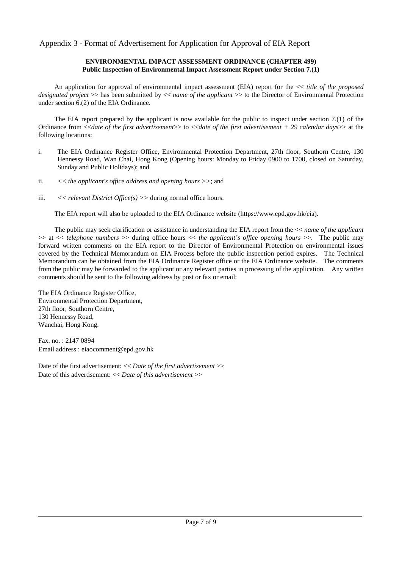Appendix 3 - Format of Advertisement for Application for Approval of EIA Report

#### **ENVIRONMENTAL IMPACT ASSESSMENT ORDINANCE (CHAPTER 499) Public Inspection of Environmental Impact Assessment Report under Section 7.(1)**

An application for approval of environmental impact assessment (EIA) report for the << *title of the proposed designated project* >> has been submitted by << *name of the applicant* >> to the Director of Environmental Protection under section 6.(2) of the EIA Ordinance.

The EIA report prepared by the applicant is now available for the public to inspect under section 7.(1) of the Ordinance from <<*date of the first advertisement*>> to <<*date of the first advertisement + 29 calendar days*>> at the following locations:

- i. The EIA Ordinance Register Office, Environmental Protection Department, 27th floor, Southorn Centre, 130 Hennessy Road, Wan Chai, Hong Kong (Opening hours: Monday to Friday 0900 to 1700, closed on Saturday, Sunday and Public Holidays); and
- ii. *<< the applicant's office address and opening hours >>*; and
- iii. *<< relevant District Office(s) >>* during normal office hours.

The EIA report will also be uploaded to the EIA Ordinance website (https://www.epd.gov.hk/eia).

The public may seek clarification or assistance in understanding the EIA report from the << *name of the applicant* >> at << *telephone numbers* >> during office hours << *the applicant's office opening hours* >>. The public may forward written comments on the EIA report to the Director of Environmental Protection on environmental issues covered by the Technical Memorandum on EIA Process before the public inspection period expires. The Technical Memorandum can be obtained from the EIA Ordinance Register office or the EIA Ordinance website. The comments from the public may be forwarded to the applicant or any relevant parties in processing of the application. Any written comments should be sent to the following address by post or fax or email:

The EIA Ordinance Register Office, Environmental Protection Department, 27th floor, Southorn Centre, 130 Hennessy Road, Wanchai, Hong Kong.

Fax. no. : 2147 0894 Email address : eiaocomment@epd.gov.hk

Date of the first advertisement: << *Date of the first advertisement* >> Date of this advertisement: << *Date of this advertisement* >>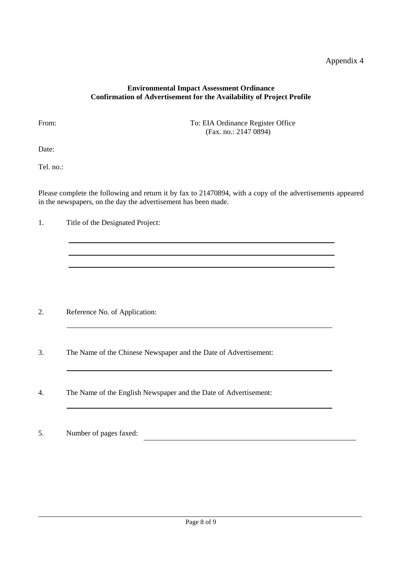## Appendix 4

l

### **Environmental Impact Assessment Ordinance Confirmation of Advertisement for the Availability of Project Profile**

From: To: EIA Ordinance Register Office (Fax. no.: 2147 0894)

Date:

Tel. no.:

Please complete the following and return it by fax to 21470894, with a copy of the advertisements appeared in the newspapers, on the day the advertisement has been made.

1. Title of the Designated Project:

- 2. Reference No. of Application:
- 3. The Name of the Chinese Newspaper and the Date of Advertisement:
- 4. The Name of the English Newspaper and the Date of Advertisement:
- 5. Number of pages faxed: